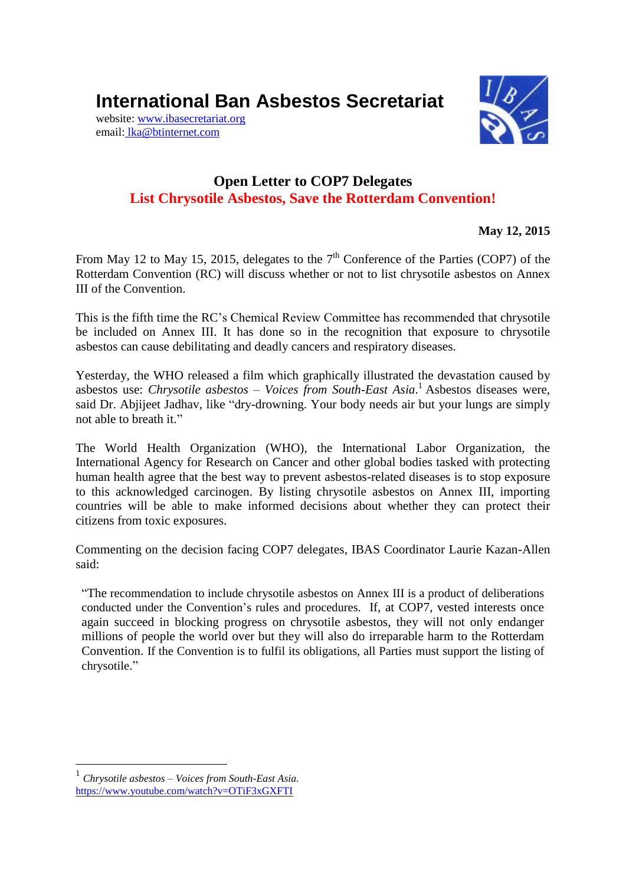**International Ban Asbestos Secretariat**

website[: www.ibasecretariat.org](http://www.ibasecretariat.org/) email: [lka@btinternet.com](mailto:lka@btinternet.com)



## **Open Letter to COP7 Delegates List Chrysotile Asbestos, Save the Rotterdam Convention!**

**May 12, 2015**

From May 12 to May 15, 2015, delegates to the  $7<sup>th</sup>$  Conference of the Parties (COP7) of the Rotterdam Convention (RC) will discuss whether or not to list chrysotile asbestos on Annex III of the Convention.

This is the fifth time the RC's Chemical Review Committee has recommended that chrysotile be included on Annex III. It has done so in the recognition that exposure to chrysotile asbestos can cause debilitating and deadly cancers and respiratory diseases.

Yesterday, the WHO released a film which graphically illustrated the devastation caused by asbestos use: *Chrysotile asbestos – Voices from South-East Asia*. <sup>1</sup> Asbestos diseases were, said Dr. Abjijeet Jadhav, like "dry-drowning. Your body needs air but your lungs are simply not able to breath it."

The World Health Organization (WHO), the International Labor Organization, the International Agency for Research on Cancer and other global bodies tasked with protecting human health agree that the best way to prevent asbestos-related diseases is to stop exposure to this acknowledged carcinogen. By listing chrysotile asbestos on Annex III, importing countries will be able to make informed decisions about whether they can protect their citizens from toxic exposures.

Commenting on the decision facing COP7 delegates, IBAS Coordinator Laurie Kazan-Allen said:

"The recommendation to include chrysotile asbestos on Annex III is a product of deliberations conducted under the Convention's rules and procedures. If, at COP7, vested interests once again succeed in blocking progress on chrysotile asbestos, they will not only endanger millions of people the world over but they will also do irreparable harm to the Rotterdam Convention. If the Convention is to fulfil its obligations, all Parties must support the listing of chrysotile."

<u>.</u>

<sup>1</sup> *Chrysotile asbestos – Voices from South-East Asia.* <https://www.youtube.com/watch?v=OTiF3xGXFTI>